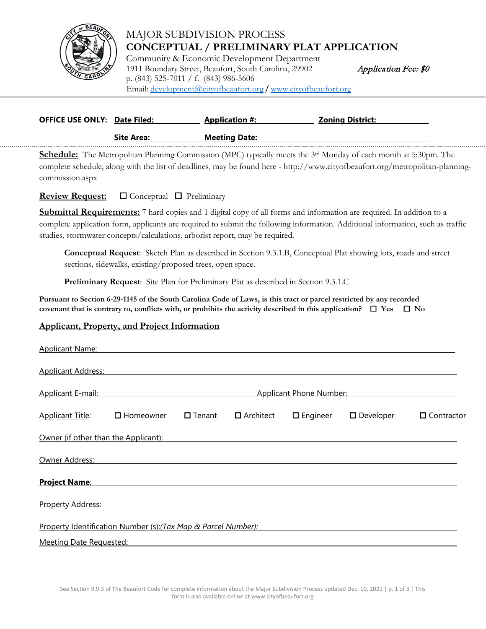

## MAJOR SUBDIVISION PROCESS **CONCEPTUAL / PRELIMINARY PLAT APPLICATION**

Community & Economic Development Department 1911 Boundary Street, Beaufort, South Carolina, 29902 *Application Fee:* \$0 p. (843) 525-7011 / f. (843) 986-5606 Email: [development@cityofbeaufort.org](mailto:development@cityofbeaufort.org) / [www.cityofbeaufort.org](http://www.cityofbeaufort.org/)

| <b>OFFICE USE ONLY: Date Filed:</b> |                   | <b>Application #:</b> | <b>Zoning District:</b> |  |
|-------------------------------------|-------------------|-----------------------|-------------------------|--|
|                                     | <b>Site Area:</b> | <b>Meeting Date:</b>  |                         |  |
|                                     |                   |                       |                         |  |

**Schedule:** The Metropolitan Planning Commission (MPC) typically meets the 3<sup>rd</sup> Monday of each month at 5:30pm. The complete schedule, along with the list of deadlines, may be found here - http://www.cityofbeaufort.org/metropolitan-planningcommission.aspx

Review Request:  $\square$  Conceptual  $\square$  Preliminary

**Submittal Requirements:** 7 hard copies and 1 digital copy of all forms and information are required. In addition to a complete application form, applicants are required to submit the following information. Additional information, such as traffic studies, stormwater concepts/calculations, arborist report, may be required.

**Conceptual Request**: Sketch Plan as described in Section 9.3.1.B, Conceptual Plat showing lots, roads and street sections, sidewalks, existing/proposed trees, open space.

**Preliminary Request**: Site Plan for Preliminary Plat as described in Section 9.3.1.C

**Pursuant to Section 6-29-1145 of the South Carolina Code of Laws, is this tract or parcel restricted by any recorded covenant that is contrary to, conflicts with, or prohibits the activity described in this application?**  $\Box$  **Yes**  $\Box$  **No** 

## **Applicant, Property, and Project Information**

| <b>Applicant Name:</b>         |                                                               |                                |                  |                 |                     |                   |
|--------------------------------|---------------------------------------------------------------|--------------------------------|------------------|-----------------|---------------------|-------------------|
| <b>Applicant Address:</b>      |                                                               |                                |                  |                 |                     |                   |
| <b>Applicant E-mail:</b>       |                                                               | <b>Applicant Phone Number:</b> |                  |                 |                     |                   |
| <b>Applicant Title:</b>        | $\Box$ Homeowner                                              | $\Box$ Tenant                  | $\Box$ Architect | $\Box$ Engineer | $\square$ Developer | $\Box$ Contractor |
|                                | Owner (if other than the Applicant):                          |                                |                  |                 |                     |                   |
| Owner Address:                 |                                                               |                                |                  |                 |                     |                   |
| <b>Project Name:</b>           |                                                               |                                |                  |                 |                     |                   |
| Property Address:              |                                                               |                                |                  |                 |                     |                   |
|                                | Property Identification Number (s):(Tax Map & Parcel Number): |                                |                  |                 |                     |                   |
| <b>Meeting Date Requested:</b> |                                                               |                                |                  |                 |                     |                   |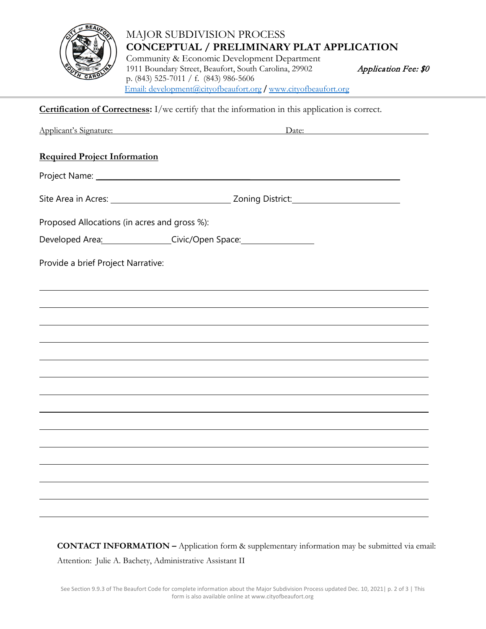

## MAJOR SUBDIVISION PROCESS **CONCEPTUAL / PRELIMINARY PLAT APPLICATION**

Community & Economic Development Department 1911 Boundary Street, Beaufort, South Carolina, 29902 Application Fee: \$0 p. (843) 525-7011 / f. (843) 986-5606 Email: [development@cityofbeaufort.org](mailto:development@cityofbeaufort.org) / [www.cityofbeaufort.org](http://www.cityofbeaufort.org/)

**Certification of Correctness:** I/we certify that the information in this application is correct.

| Applicant's Signature:                       | Date: Note:                                                                                                   |
|----------------------------------------------|---------------------------------------------------------------------------------------------------------------|
| <b>Required Project Information</b>          |                                                                                                               |
|                                              |                                                                                                               |
|                                              | Site Area in Acres: 1988 1999 2001 2001 2001 2001 2001 2001 2010 2011 2012 2001 2010 2011 2012 2014 2016 2017 |
| Proposed Allocations (in acres and gross %): |                                                                                                               |
| Developed Area: Civic/Open Space: Civic-     |                                                                                                               |
| Provide a brief Project Narrative:           |                                                                                                               |
|                                              |                                                                                                               |
|                                              |                                                                                                               |
|                                              |                                                                                                               |
|                                              |                                                                                                               |
|                                              |                                                                                                               |
|                                              |                                                                                                               |
|                                              |                                                                                                               |
|                                              |                                                                                                               |
|                                              |                                                                                                               |
|                                              |                                                                                                               |
|                                              |                                                                                                               |
|                                              |                                                                                                               |
|                                              |                                                                                                               |

**CONTACT INFORMATION –** Application form & supplementary information may be submitted via email: Attention: Julie A. Bachety, Administrative Assistant II